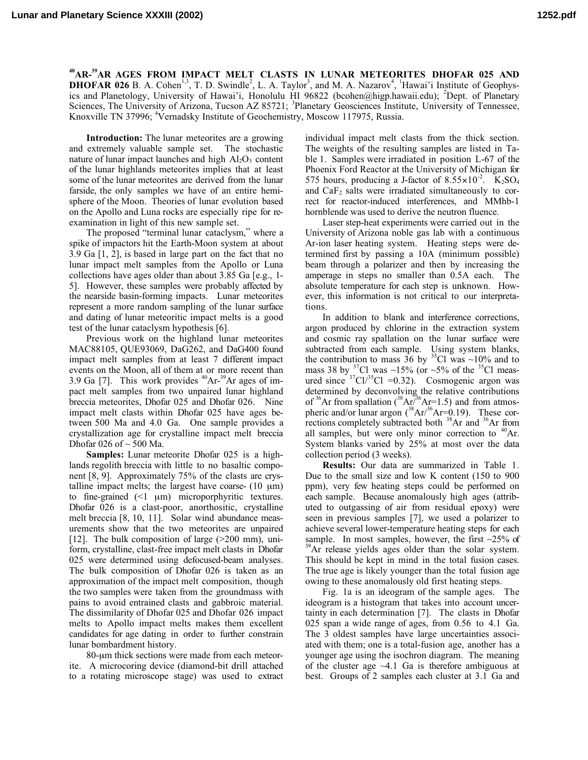**40AR-39AR AGES FROM IMPACT MELT CLASTS IN LUNAR METEORITES DHOFAR 025 AND DHOFAR 026** B. A. Cohen<sup>1,3</sup>, T. D. Swindle<sup>2</sup>, L. A. Taylor<sup>3</sup>, and M. A. Nazarov<sup>4</sup>, <sup>1</sup>Hawai'i Institute of Geophysics and Planetology, University of Hawai'i, Honolulu HI 96822 (bcohen@higp.hawaii.edu); <sup>2</sup>Dept. of Planetary Sciences, The University of Arizona, Tucson AZ 85721; <sup>3</sup>Planetary Geosciences Institute, University of Tennessee, Knoxville TN 37996; <sup>4</sup>Vernadsky Institute of Geochemistry, Moscow 117975, Russia.

**Introduction:** The lunar meteorites are a growing and extremely valuable sample set. The stochastic nature of lunar impact launches and high  $Al_2O_3$  content of the lunar highlands meteorites implies that at least some of the lunar meteorites are derived from the lunar farside, the only samples we have of an entire hemisphere of the Moon. Theories of lunar evolution based on the Apollo and Luna rocks are especially ripe for reexamination in light of this new sample set.

The proposed "terminal lunar cataclysm," where a spike of impactors hit the Earth-Moon system at about 3.9 Ga [1, 2], is based in large part on the fact that no lunar impact melt samples from the Apollo or Luna collections have ages older than about 3.85 Ga [e.g., 1- 5]. However, these samples were probably affected by the nearside basin-forming impacts. Lunar meteorites represent a more random sampling of the lunar surface and dating of lunar meteoritic impact melts is a good test of the lunar cataclysm hypothesis [6].

Previous work on the highland lunar meteorites MAC88105, QUE93069, DaG262, and DaG400 found impact melt samples from at least 7 different impact events on the Moon, all of them at or more recent than 3.9 Ga [7]. This work provides  $^{40}Ar^{-39}Ar$  ages of impact melt samples from two unpaired lunar highland breccia meteorites, Dhofar 025 and Dhofar 026. Nine impact melt clasts within Dhofar 025 have ages between 500 Ma and 4.0 Ga. One sample provides a crystallization age for crystalline impact melt breccia Dhofar 026 of  $\sim$  500 Ma.

**Samples:** Lunar meteorite Dhofar 025 is a highlands regolith breccia with little to no basaltic component [8, 9]. Approximately 75% of the clasts are crystalline impact melts; the largest have coarse-  $(10 \mu m)$ to fine-grained  $(1 \mu m)$  microporphyritic textures. Dhofar 026 is a clast-poor, anorthositic, crystalline melt breccia [8, 10, 11]. Solar wind abundance measurements show that the two meteorites are unpaired [12]. The bulk composition of large (>200 mm), uniform, crystalline, clast-free impact melt clasts in Dhofar 025 were determined using defocused-beam analyses. The bulk composition of Dhofar 026 is taken as an approximation of the impact melt composition, though the two samples were taken from the groundmass with pains to avoid entrained clasts and gabbroic material. The dissimilarity of Dhofar 025 and Dhofar 026 impact melts to Apollo impact melts makes them excellent candidates for age dating in order to further constrain lunar bombardment history.

80-µm thick sections were made from each meteorite. A microcoring device (diamond-bit drill attached to a rotating microscope stage) was used to extract

individual impact melt clasts from the thick section. The weights of the resulting samples are listed in Table 1. Samples were irradiated in position L-67 of the Phoenix Ford Reactor at the University of Michigan for 575 hours, producing a J-factor of  $8.55 \times 10^{-2}$ . K<sub>2</sub>SO<sub>4</sub> and  $CaF<sub>2</sub>$  salts were irradiated simultaneously to correct for reactor-induced interferences, and MMhb-1 hornblende was used to derive the neutron fluence.

Laser step-heat experiments were carried out in the University of Arizona noble gas lab with a continuous Ar-ion laser heating system. Heating steps were determined first by passing a 10A (minimum possible) beam through a polarizer and then by increasing the amperage in steps no smaller than 0.5A each. The absolute temperature for each step is unknown. However, this information is not critical to our interpretations.

In addition to blank and interference corrections, argon produced by chlorine in the extraction system and cosmic ray spallation on the lunar surface were subtracted from each sample. Using system blanks, the contribution to mass  $36$  by <sup>35</sup>Cl was ~10% and to mass 38 by  $\frac{37}{1}$ Cl was ~15% (or ~5% of the <sup>35</sup>Cl measured since  ${}^{37}Cl/{}^{35}Cl = 0.32$ ). Cosmogenic argon was determined by deconvolving the relative contributions of <sup>36</sup>Ar from spallation ( $\rm{^{38}Ar/^{36}Ar=1.5}$ ) and from atmospheric and/or lunar argon  $({}^{38}Ar)^{36}Ar=0.19$ ). These corrections completely subtracted both 38Ar and 36Ar from all samples, but were only minor correction to  $^{40}Ar$ . System blanks varied by 25% at most over the data collection period (3 weeks).

**Results:** Our data are summarized in Table 1. Due to the small size and low K content (150 to 900 ppm), very few heating steps could be performed on each sample. Because anomalously high ages (attributed to outgassing of air from residual epoxy) were seen in previous samples [7], we used a polarizer to achieve several lower-temperature heating steps for each sample. In most samples, however, the first  $\sim$ 25% of <sup>39</sup>Ar release yields ages older than the solar system. This should be kept in mind in the total fusion cases. The true age is likely younger than the total fusion age owing to these anomalously old first heating steps.

Fig. 1a is an ideogram of the sample ages. The ideogram is a histogram that takes into account uncertainty in each determination [7]. The clasts in Dhofar 025 span a wide range of ages, from 0.56 to 4.1 Ga. The 3 oldest samples have large uncertainties associated with them; one is a total-fusion age, another has a younger age using the isochron diagram. The meaning of the cluster age  $~1$ . Ga is therefore ambiguous at best. Groups of 2 samples each cluster at 3.1 Ga and